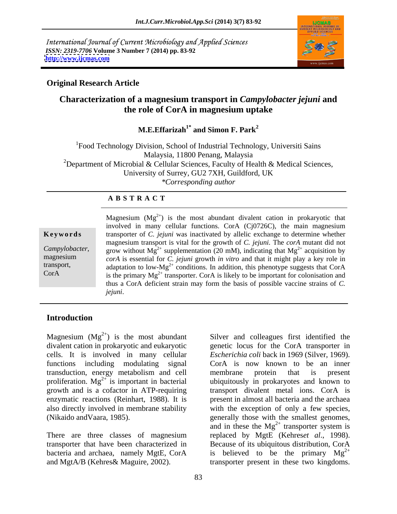International Journal of Current Microbiology and Applied Sciences *ISSN: 2319-7706* **Volume 3 Number 7 (2014) pp. 83-92 <http://www.ijcmas.com>**



### **Original Research Article**

# **Characterization of a magnesium transport in** *Campylobacter jejuni* **and the role of CorA in magnesium uptake**

**M.E.Effarizah1\* and Simon F. Park<sup>2</sup>**

1Food Technology Division, School of Industrial Technology, Universiti Sains Malaysia, 11800 Penang, Malaysia <sup>2</sup>Department of Microbial & Cellular Sciences, Faculty of Health & Medical Sciences, University of Surrey, GU2 7XH, Guildford, UK *\*Corresponding author* 

### **A B S T R A C T**

**Ke ywo rds** transporter of *C. jejuni* was inactivated by allelic exchange to determine whether *Campylobacter*, grow without  $Mg^{2+}$  supplementation (20 mM), indicating that  $Mg^{2+}$  acquisition by magnesium cord is essential for C *jeiuni* growth in vitro and that it might play a key role in transport, adaptation to low-Mg<sup>2+</sup> conditions. In addition, this phenotype suggests that CorA CorA is the primary  $Mg^{2+}$  transporter. CorA is likely to be important for colonisation and Magnesium  $(Mg^{2+})$  is the most abundant divalent cation in prokaryotic that involved in many cellular functions. CorA (Cj0726C), the main magnesium magnesium transport is vital for the growth of *C. jejuni.* The *corA* mutant did not  $2^+$  acquisition by *corA* is essential for *C. jejuni* growth *in vitro* and that it might play a key role in thus a CorA deficient strain may form the basis of possible vaccine strains of *C. jejuni*.

## **Introduction**

Magnesium  $(Mg^{2+})$  is the most abundant Silver and colleagues first identified the cells. It is involved in many cellular transduction, energy metabolism and cell proliferation.  $Mg^{2+}$  is important in bacterial enzymatic reactions (Reinhart, 1988). It is

and MgtA/B (Kehres& Maguire, 2002). transporter present in these two kingdoms.

divalent cation in prokaryotic and eukaryotic genetic locus for the CorA transporter in functions including modulating signal CorA is now known to be an inner  $2^+$  is important in bacterial ubiquitously in prokaryotes and known to growth and is a cofactor in ATP-requiring transport divalent metal ions. CorA is also directly involved in membrane stability with the exception of only a few species, (Nikaido andVaara, 1985). generally those with the smallest genomes, There are three classes of magnesium replaced by MgtE (Kehres*et al.*, 1998). transporter that have been characterized in Because of its ubiquitous distribution, CorA bacteria and archaea, namely MgtE, CorA is believed to be the primary  $Mg^{2+}$ *Escherichia coli* back in 1969 (Silver, 1969). membrane protein that is present present in almost all bacteria and the archaea and in these the  $Mg^{2+}$  transporter system is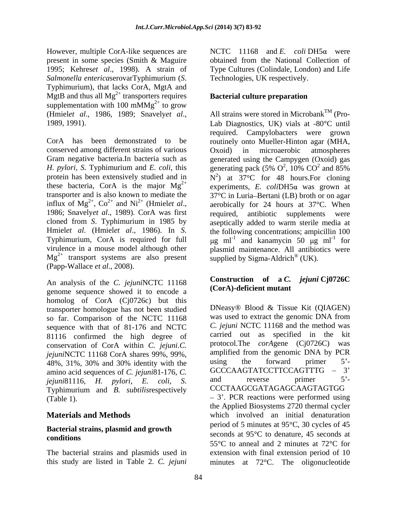However, multiple CorA-like sequences are present in some species (Smith & Maguire *Salmonella entericaserovarTyphimurium (S.* Technologies, UK respectively.<br>Typhimurium), that lacks CorA, MgtA and MgtB and thus all  $Mg^{2+}$  transporters requires supplementation with 100 mMMg<sup>2+</sup> to grow

CorA has been demonstrated to be routinely onto Mueller-Hinton agar (MHA, conserved among different strains of various  $Oxoid)$  in microaerobic atmospheres Gram negative bacteria.In bacteria such as generated using the Campygen (Oxoid) gas *H. pylori*, *S.* Typhimurium and *E. coli*, this generating pack (5%  $O^2$ , 10%  $CO^2$  and 85% protein has been extensively studied and in  $N^2$ ) at 37°C for 48 hours. For cloning these bacteria, CorA is the major  $Mg^{2+}$  experiments, *E. coli*DH5 $\alpha$  was grown at transporter and is also known to mediate the  $37^{\circ}$ C in Luria–Bertani (LB) broth or on agar influx of  $Mg^{2+}$ ,  $Co^{2+}$  and  $Ni^{2+}$  (Hmielet al., influx of Mg<sup>2+</sup>, Co<sup>2+</sup> and Ni<sup>2+</sup> (Hmiel*et al.*, aerobically for 24 hours at 37°C. When 1986; Snavely*et al.*, 1989). CorA was first required, antibiotic supplements were cloned from *S*. Typhimurium in 1985 by aseptically added to warm sterile media at Hmiel*et al.* (Hmiel*et al.*, 1986). In *S*. the following concentrations; ampicillin 100 <br>Typhimurium, CorA is required for full  $\mu$ g ml<sup>-1</sup> and kanamycin 50  $\mu$ g ml<sup>-1</sup> for virulence in a mouse model although other plasmid maintenance. All antibiotics were  $Mg^{2+}$  transport systems are also present supplied by Sigma-Aldrich<sup>®</sup> (UK). (Papp-Wallace *et al*., 2008).

An analysis of the *C. jejuni*NCTC 11168 genome sequence showed it to encode a homolog of CorA (Cj0726c) but this transporter homologue has not been studied so far. Comparison of the NCTC 11168 sequence with that of 81-176 and NCTC 81116 confirmed the high degree of conservation of CorA within *C. jejuni.C. jejuni*NCTC 11168 CorA shares 99%, 99%, amplified from the genomic DNA by PCR<br>48% 31% 30% and 30% identity with the using the forward primer 5'-48%, 31%, 30% and 30% identity with the using the forward primer  $5^2$ -<br>amino soid soqueness of C isium<sup>181</sup> 176 C GCCCAAGTATCCTTCCAGTTTG – 3<sup>7</sup> amino acid sequences of *C. jejuni*81-176, *C.*  $\frac{1}{2}$  **GCCCAAGTATCCTTCCAGTTTG** - 3<sup>7</sup><br>*iejuni*81116 *H pylori F coli* S and reverse primer 5<sup>2</sup>-

# **Bacterial strains, plasmid and growth**

1995; Kehres*et al*., 1998). A strain of Type Cultures (Colindale, London) and Life NCTC 11168 and *E. coli* DH5 $\alpha$  were obtained from the National Collection of Technologies, UK respectively.

# **Bacterial culture preparation**

(Hmiel*et al*., 1986, 1989; Snavely*et al*., 1989, 1991). Lab Diagnostics, UK) vials at -80 C until ,  $Co^{2+}$  and  $Ni^{2+}$  (Hmielet al., aerobically for 24 hours at 37°C. When All strains were stored in Microbank<sup>TM</sup> (Prorequired. Campylobacters were grown Oxoid) in microaerobic atmospheres  $^{2}$  100.  $CO^{2}$  and 950. ,  $10\%$  CO<sup>2</sup> and 85%  $^2$  and  $\overline{9506}$ and 85% required, antibiotic supplements were the following concentrations; ampicillin 100 g ml<sup>-1</sup> and kanamycin 50  $\mu$ g ml<sup>-1</sup> for for supplied by Sigma-Aldrich<sup>®</sup> (UK). (UK).

# **Construction of a** *C. jejuni* **Cj0726C (CorA)-deficient mutant**

*jejuni*81116, *H. pylori*, *E. coli*, *S*. Typhimurium and *B. subtilis*respectively (Table 1).  $-3'$ . PCR reactions were performed using **Materials and Methods which** involved an initial denaturation conditions conditions and the seconds at  $95^\circ$  C to denature, 45 seconds at The bacterial strains and plasmids used in extension with final extension period of 10 this study are listed in Table 2. *C. jejuni* minutes at 72 C. The oligonucleotideDNeasy® Blood & Tissue Kit (QIAGEN) was used to extract the genomic DNA from *C. jejuni* NCTC 11168 and the method was carried out as specified in the kit protocol.The *corA*gene (Cj0726C) was amplified from the genomic DNA by PCR using the forward primer 5<sup>-</sup> GCCCAAGTATCCTTCCAGTTTG and reverse primer 5<sup>-</sup> CCCTAAGCGATAGAGCAAGTAGTGG the Applied Biosystems 2720 thermal cycler period of 5 minutes at  $95^{\circ}$ C, 30 cycles of 45 seconds at  $95^{\circ}$ C to denature, 45 seconds at  $55^{\circ}$ C to anneal and 2 minutes at  $72^{\circ}$ C for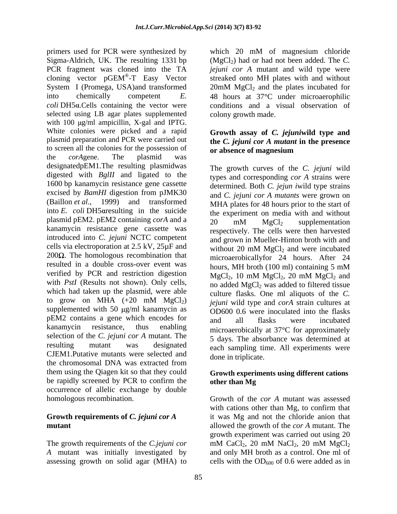primers used for PCR were synthesized by which 20 mM of magnesium chloride Sigma-Aldrich, UK. The resulting 1331 bp (MgCl<sub>2</sub>) had or had not been added. The *C*. PCR fragment was cloned into the TA cloning vector  $pGEM^{\circledast}$ -T Easy Vector System I (Promega, USA)and transformed 20mM MgCl<sub>2</sub> and the plates incubated for into chemically competent *E*. 48 hours at 37°C under microaerophilic *coli* DH5 .Cells containing the vector were conditions and a visual observation of selected using LB agar plates supplemented with  $100 \mu g/ml$  ampicillin, X-gal and IPTG. White colonies were picked and a rapid plasmid preparation and PCR were carried out to screen all the colonies for the possession of the *corA*gene. The plasmid was designatedpEM1.The resulting plasmidwas digested with *BglII* and ligated to the 1600 bp kanamycin resistance gene cassette excised by *BamHI* digestion from pJMK30 (Baillon *et al.*, 1999) and transformed MHA plates for 48 hours prior to the start of into  $E$ . *coli* DH5 are sulting in the suicide plasmid pEM2. pEM2 containing *corA* and a  $\frac{20}{20}$  mM MgCl<sub>2</sub> supplementation kanamycin resistance gene cassette was introduced into *C. jejuni* NCTC competent cells via electroporation at  $2.5 \text{ kV}$ ,  $25 \mu \text{F}$  and without  $20 \text{ mM } MgCl_2$  and were incubated 200 $\Omega$ . The homologous recombination that microaerobicallyfor 24 hours. After 24 resulted in a double cross-over event was hours, MH broth (100 ml) containing 5 mM verified by PCR and restriction digestion  $MgCl_2$ , 10 mM  $MgCl_2$ , 20 mM  $MgCl_2$  and with *PstI* (Results not shown). Only cells, no added MgCl<sub>2</sub> was added to filtered tissue which had taken up the plasmid, were able  $\frac{1}{2}$  culture flasks. One ml aliquots of the C. to grow on MHA  $(+20 \text{ mM } MgCl<sub>2</sub>)$  *iejuni* wild type and *corA* strain cultures at to grow on MHA  $(+20 \text{ mM} \text{ MgCl}_2)$  *jejuni* wild type and *corA* strain cultures at supplemented with 50  $\mu$ g/ml kanamycin as **OD600.0.6** were inoculated into the flasks pEM2 contains a gene which encodes for and all flasks were incubated kanamycin resistance, thus enabling microaerobically at 37<sup>o</sup>C for approximately selection of the *C. jejuni cor A* mutant. The resulting mutant was designated each sampling time. All experiments were CJEM1.Putative mutants were selected and the chromosomal DNA was extracted from them using the Qiagen kit so that they could be rapidly screened by PCR to confirm the occurrence of allelic exchange by double

*A* mutant was initially investigated by

®-T Easy Vector streaked onto MH plates with and without which 20 mM of magnesium chloride *jejuni cor A* mutant and wild type were  $20 \text{mM}$  MgCl<sub>2</sub> and the plates incubated for colony growth made.

### **Growth assay of** *C. jejuni***wild type and the** *C. jejuni cor A mutant* **in the presence or absence of magnesium**

The growth curves of the *C. jejuni* wild types and corresponding *cor A* strains were determined. Both *C. jejun i*wild type strains and *C. jejuni cor A mutants* were grown on the experiment on media with and without 20 mM  $MgCl<sub>2</sub>$  supplementation respectively. The cells were then harvested and grown in Mueller-Hinton broth with and without 20 mM  $MgCl<sub>2</sub>$  and were incubated hours, MH broth (100 ml) containing 5 mM  $MgCl<sub>2</sub>$ , 10 mM  $MgCl<sub>2</sub>$ , 20 mM  $MgCl<sub>2</sub>$  and culture flasks. One ml aliquots of the *C. jejuni* wild type and *corA* strain cultures at OD600 0.6 were inoculated into the flasks and all flasks were incubated 5 days. The absorbance was determined at done in triplicate.

### **Growth experiments using different cations other than Mg**

homologous recombination. Growth of the *cor A* mutant was assessed **Growth requirements of** *C. jejuni cor A* it was Mg and not the chloride anion that **mutant**  allowed the growth of the *cor A* mutant. The The growth requirements of the *C.jejuni cor* mM CaCl<sub>2</sub>, 20 mM NaCl<sub>2</sub>, 20 mM MgCl<sub>2</sub> assessing growth on solid agar (MHA) to cells with the  $OD_{600}$  of 0.6 were added as in with cations other than Mg, to confirm that growth experiment was carried out using 20 mM CaCl<sub>2</sub>, 20 mM NaCl<sub>2</sub>, 20 mM MgCl<sub>2</sub> and only MH broth as a control. One ml of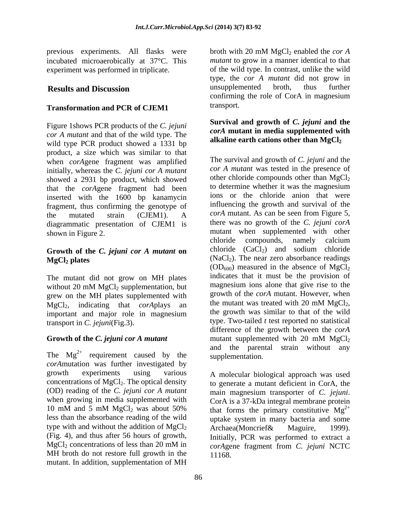previous experiments. All flasks were broth with 20 mM MgCl<sub>2</sub> enabled the *cor A* incubated microaerobically at 37°C. This

# **Transformation and PCR of CJEM1**

Figure 1shows PCR products of the *C. jejuni cor A mutant* and that of the wild type. The wild type PCR product showed a 1331 bp product, a size which was similar to that when *corA*gene fragment was amplified initially, whereas the *C. jejuni cor A mutant* showed a 2931 bp product, which showed other chloride compounds other than  $MgCl_2$ <br>that the cardones fragment had been to determine whether it was the magnesium that the *corA*gene fragment had been inserted with the 1600 bp kanamycin fragment, thus confirming the genotype of the mutated strain (CJEM1). A corA mutant. As can be seen from Figure 5,<br>diagrammatic presentation of CIFM1 is there was no growth of the C. jejuni corA diagrammatic presentation of CJEM1 is

# **Growth of the** *C. jejuni cor A mutant* **on**

The mutant did not grow on MH plates grew on the MH plates supplemented with growth of the *corA* mutant. However, when<br>MoCl<sub>2</sub> indicating that *corA*nlays an the mutant was treated with 20 mM MgCl<sub>2</sub>,  $MgCl<sub>2</sub>$ , indicating that *corA*plays an the mutant was treated with 20 mM MgCl<sub>2</sub>, important and major role in magnesium the growth was similar to that of the wild important and major role in magnesium

*corA*mutation was further investigated by growth experiments using various A molecular biological approach was used (OD) reading of the *C. jejuni cor A mutant* main magnesium transporter of *C. jejuni.* when growing in media supplemented with  $C$ orA is a 37-kDa integral membrane protein type with and without the addition of  $MgCl_2$  Archaea (Moncrief & Maguire, 1999). (Fig. 4), and thus after 56 hours of growth, MH broth do not restore full growth in the mutant. In addition, supplementation of MH

experiment was performed in triplicate. of the wild type. In contrast, unlike the wild **Results and Discussion Examplement is a supplemented** broth, thus further broth with 20 mM MgCl<sub>2</sub> enabled the *cor A mutant* to grow in a manner identical to that type, the *cor A mutant* did not grow in unsupplemented broth, thus further confirming the role of CorA in magnesium transport.

### **Survival and growth of** *C. jejuni* **and the** *corA* **mutant in media supplemented with** alkaline earth cations other than  $MgCl<sub>2</sub>$

shown in Figure 2. The supplemented with other supplemented with other  $MgCl<sub>2</sub>$  plates  $(NaCl<sub>2</sub>)$ . The near zero absorbance readings without 20 mM  $MgCl<sub>2</sub>$  supplementation, but magnesium ions alone that give rise to the transport in *C. jejuni*(Fig.3). type. Two-tailed *t* test reported no statistical **Growth of the** *C. jejuni cor A mutant* mutant supplemented with 20 mM MgCl<sub>2</sub> The  $Mg^{2+}$  requirement caused by the supplementation. The survival and growth of *C. jejuni* and the *cor A mutant* was tested in the presence of other chloride compounds other than  $MgCl<sub>2</sub>$ to determine whether it was the magnesium ions or the chloride anion that were influencing the growth and survival of the *corA* mutant. As can be seen from Figure 5, there was no growth of the *C. jejuni corA* chloride compounds, namely calcium chloride  $(CaCl<sub>2</sub>)$  and sodium chloride  $(OD<sub>600</sub>)$  measured in the absence of MgCl<sub>2</sub> indicates that it must be the provision of magnesium ions alone that give rise to the growth of the *corA* mutant. However, when the mutant was treated with 20 mM  $MgCl<sub>2</sub>$ , the growth was similar to that of the wild difference of the growth between the *corA* mutant supplemented with 20 mM  $MgCl<sub>2</sub>$ and the parental strain without any supplementation.

concentrations of  $MgCl<sub>2</sub>$ . The optical density to generate a mutant deficient in CorA, the 10 mM and 5 mM MgCl<sub>2</sub> was about 50% that forms the primary constitutive  $Mg^{2+}$ less than the absorbance reading of the wild uptake system in many bacteria and some  $MgCl<sub>2</sub>$  concentrations of less than 20 mM in  $corAgene$  fragment from C, jejuni NCTC main magnesium transporter of *C. jejuni*. CorA is a 37-kDa integral membrane protein  $2+$ Archaea(Moncrief& Maguire, 1999). Initially, PCR was performed to extract a *corA*gene fragment from *C. jejuni* NCTC 11168.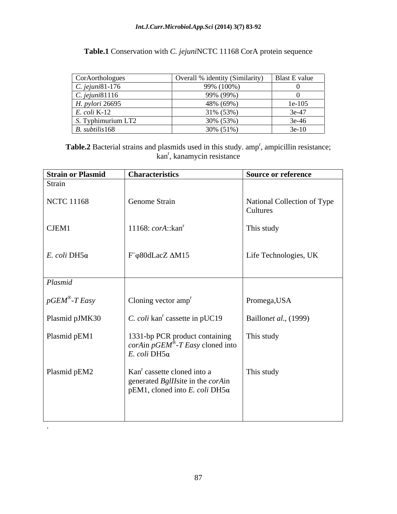| Table.1 Conservation with C. jejuniNCTC 11168 CorA protein sequence |  |  |
|---------------------------------------------------------------------|--|--|
|---------------------------------------------------------------------|--|--|

| CorAorthologues       | Overall % identity (Similarity) | Blast E value |
|-----------------------|---------------------------------|---------------|
| C. jejuni81-176       | 99% (100%)                      |               |
| $C.$ jejuni $81116$   | 99% (99%)                       |               |
| H. pylori 26695       | 48% (69%)                       | $1e-105$      |
| $E. \text{coli K-12}$ | 31% (53%)                       | $3e-47$       |
| S. Typhimurium LT2    | 30% (53%)                       | 3e-46         |
| $B.$ subtilis 168     | 30% (51%)                       | $3e-10$       |

Table.2 Bacterial strains and plasmids used in this study. amp<sup>r</sup>, ampicillin resistance; kan<sup>r</sup>, kanamycin resistance

| <b>Strain or Plasmid</b> | <b>Characteristics</b>                                                                                                                    | <b>Source or reference</b>              |
|--------------------------|-------------------------------------------------------------------------------------------------------------------------------------------|-----------------------------------------|
| Strain                   |                                                                                                                                           |                                         |
| NCTC 11168               | Genome Strain                                                                                                                             | National Collection of Type<br>Cultures |
| CJEM1                    | 11168: $corA::kanr$                                                                                                                       | This study                              |
| E. coli DH5a             | $\Gamma$ F $\phi$ 80dLacZ $\Delta M15$                                                                                                    | Life Technologies, UK                   |
| Plasmid                  |                                                                                                                                           |                                         |
| $\int$ pGEM®-T Easy      | $\vert$ Cloning vector amp <sup>r</sup>                                                                                                   | Promega, USA                            |
| Plasmid pJMK30           | C. coli kan <sup>r</sup> cassette in pUC19                                                                                                | Baillonet al., (1999)                   |
| Plasmid pEM1             | 1331-bp PCR product containing<br><i>corAin pGEM</i> <sup>®</sup> - <i>T Easy</i> cloned into<br>E. coli DH5a                             | This study                              |
| Plasmid pEM2             | Kan <sup>r</sup> cassette cloned into a<br>generated <i>BglII</i> site in the <i>corA</i> in<br>$pEM1$ , cloned into E. coli DH5 $\alpha$ | This study                              |
|                          |                                                                                                                                           |                                         |

.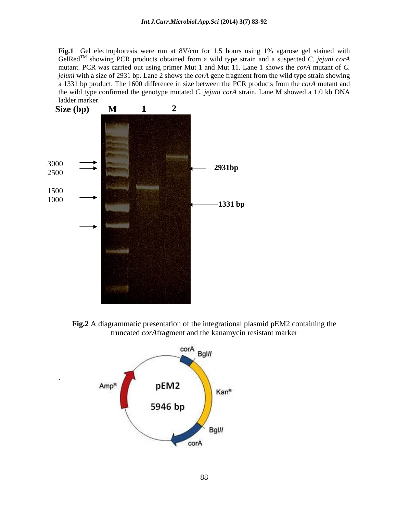**Fig.1** Gel electrophoresis were run at 8V/cm for 1.5 hours using 1% agarose gel stained with GelRedTM showing PCR products obtained from a wild type strain and a suspected *C*. *jejuni corA* mutant. PCR was carried out using primer Mut 1 and Mut 11. Lane 1 shows the *corA* mutant of *C. jejuni* with a size of 2931 bp. Lane 2 shows the *corA* gene fragment from the wild type strain showing a 1331 bp product. The 1600 difference in size between the PCR products from the *corA* mutant and the wild type confirmed the genotype mutated *C. jejuni corA* strain. Lane M showed a 1.0 kb DNA ladder marker.



**Fig.2** A diagrammatic presentation of the integrational plasmid pEM2 containing the truncated *corA*fragment and the kanamycin resistant marker

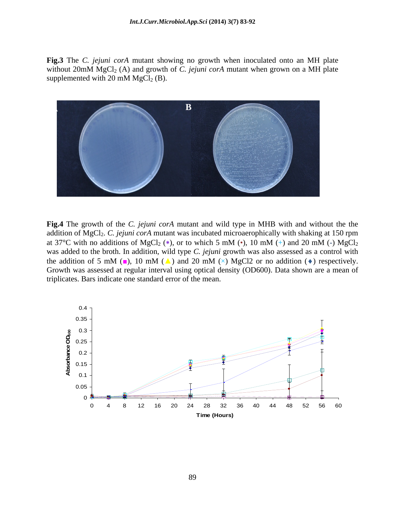**Fig.3** The *C. jejuni corA* mutant showing no growth when inoculated onto an MH plate without  $20 \text{mM}$  MgCl<sub>2</sub> (A) and growth of *C. jejuni corA* mutant when grown on a MH plate supplemented with 20 mM  $MgCl<sub>2</sub>(B)$ .



**Fig.4** The growth of the *C. jejuni corA* mutant and wild type in MHB with and without the the addition of MgCl<sub>2</sub>. *C. jejuni corA* mutant was incubated microaerophically with shaking at 150 rpm at 37<sup>o</sup>C with no additions of MgCl<sub>2</sub> (\*), or to which 5 mM ( $\cdot$ ), 10 mM (+) and 20 mM (-) MgCl<sub>2</sub> was added to the broth. In addition, wild type *C. jejuni* growth was also assessed as a control with the addition of 5 mM ( $\blacksquare$ ), 10 mM ( $\blacktriangle$ ) and 20 mM ( $\times$ ) MgCl2 or no addition ( $\blacklozenge$ ) respectively. Growth was assessed at regular interval using optical density (OD600). Data shown are a mean of triplicates. Bars indicate one standard error of the mean.

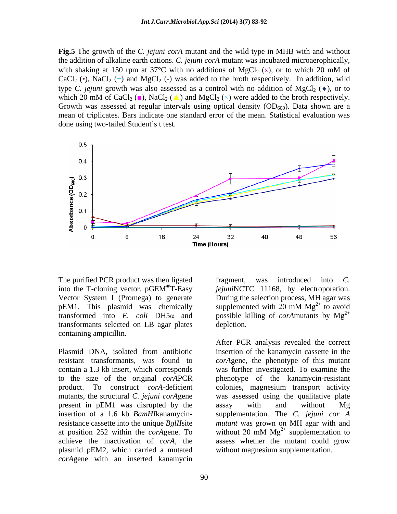**Fig.5** The growth of the *C. jejuni corA* mutant and the wild type in MHB with and without the addition of alkaline earth cations. *C. jejuni corA* mutant was incubated microaerophically, with shaking at 150 rpm at 37 $\degree$ C with no additions of MgCl<sub>2</sub> (x), or to which 20 mM of CaCl<sub>2</sub> ( $\bullet$ ), NaCl<sub>2</sub> ( $\leftrightarrow$ ) and MgCl<sub>2</sub> ( $\circ$ ) was added to the broth respectively. In addition, wild type *C. jejuni* growth was also assessed as a control with no addition of MgCl<sub>2</sub> ( $\bullet$ ), or to which 20 mM of CaCl<sub>2</sub> ( $\blacksquare$ ), NaCl<sub>2</sub> ( $\blacktriangle$ ) and MgCl<sub>2</sub> ( $\times$ ) were added to the broth respectively. Growth was assessed at regular intervals using optical density  $(OD_{600})$ . Data shown are a mean of triplicates. Bars indicate one standard error of the mean. Statistical evaluation was done using two-tailed Student's t test.



The purified PCR product was then ligated fragment, was introduced into C. transformed into  $E$ . *coli* DH5 $\alpha$  and transformants selected on LB agar plates containing ampicillin.

present in pEM1 was disrupted by the assay with and without Mg plasmid pEM2, which carried a mutated *corA*gene with an inserted kanamycin

into the T-cloning vector, pGEM<sup>®</sup>T-Easy *jejuniNCTC* 11168, by electroporation. <sup>®</sup>T-Easy *jejuni*NCTC 11168, by electroporation. Vector System I (Promega) to generate During the selection process, MH agar was pEM1. This plasmid was chemically supplemented with 20 mM  $Mg^{2+}$  to avoid fragment, was introduced into *C.*  supplemented with 20 mM  $Mg^{2+}$  to avoid  $2^+$  to avoid possible killing of *corA*mutants by  $Mg^{2+}$  $2+$ depletion.

Plasmid DNA, isolated from antibiotic insertion of the kanamycin cassette in the resistant transformants, was found to *corA*gene, the phenotype of this mutant contain a 1.3 kb insert, which corresponds was further investigated. To examine the to the size of the original *corA*PCR phenotype of the kanamycin-resistant product. To construct *corA*-deficient colonies, magnesium transport activity mutants, the structural *C. jejuni corA*gene was assessed using the qualitative plate insertion of a 1.6 kb *BamHI*kanamycin-supplementation. The *C. jejuni cor A* resistance cassette into the unique *BglII*site *mutant* was grown on MH agar with and at position 252 within the *corAgene*. To without 20 mM  $Mg<sup>2+</sup>$  supplementation to achieve the inactivation of *corA*, the assess whether the mutant could grow After PCR analysis revealed the correct insertion of the kanamycin cassette in the assay with and without Mg  $2^+$  cumplementation to supplementation to without magnesium supplementation.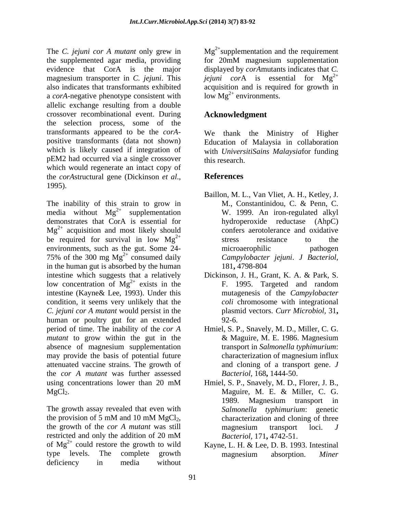the supplemented agar media, providing for 20mM magnesium supplementation evidence that CorA is the major displayed by *corA*mutants indicates that *C.*  magnesium transporter in *C. jejuni*. This *jejuni cor*A is essential for Mg also indicates that transformants exhibited acquisition and is required for growth in a *corA*-negative phenotype consistent with allelic exchange resulting from a double crossover recombinational event. During the selection process, some of the transformants appeared to be the *corA* positive transformants (data not shown) which is likely caused if integration of pEM2 had occurred via a single crossover which would regenerate an intact copy of the *corA*structural gene (Dickinson *et al*., 1995).

The inability of this strain to grow in M., Constantinidou, C. & Penn, C. media without  $Mg^{2+}$  supplementation demonstrates that CorA is essential for  $Mg^{2+}$  acquisition and most likely should confers aerotolerance and oxidative be required for survival in low  $Mg^{2+}$  stress resistance to the environments, such as the gut. Some 24-<br>microaerophilic pathogen 75% of the 300 mg  $Mg^{2+}$  consumed daily in the human gut is absorbed by the human 181, 4798-804 intestine which suggests that a relatively Dickinson, J. H., Grant, K. A. & Park,S. low concentration of  $Mg^{2+}$  exists in the intestine (Kayne& Lee, 1993). Under this condition, it seems very unlikely that the *C. jejuni cor A mutant* would persist in the human or poultry gut for an extended 92-6. period of time. The inability of the *cor A* Hmiel, S. P., Snavely, M. D., Miller, C. G. *mutant* to grow within the gut in the  $\&$  Maguire, M. E. 1986. Magnesium absence of magnesium supplementation may provide the basis of potential future attenuated vaccine strains. The growth of the *cor A mutant* was further assessed using concentrations lower than 20 mM Hmiel, S. P., Snavely, M. D., Florer, J. B.,

the provision of 5 mM and 10 mM MgCl<sub>2</sub>, characterization and cloning of three<br>the growth of the *cor A mutant* was still magnesium transport loci. J restricted and only the addition of 20 mM Bacteriol, 171, 4742-51. of  $Mg^2$ <sup>+</sup> could restore the growth to wild Kayne, L. H. & Lee, D. B. 1993. Intestinal of  $Mg^{2+}$  could restore the growth to wild type levels. The complete growth magnesium absorption. Miner deficiency in media without

The *C. jejuni cor A mutant* only grew in Mg<sup>2+</sup>supplementation and the requirement  $2+$ low  $Mg^{2+}$  environments.

# **Acknowledgment**

We thank the Ministry of Higher Education of Malaysia in collaboration with *UniversitiSains Malaysia*for funding this research.

# **References**

- 2+ supplementation W. 1999. An iron-regulated alkyl  $2^{+}$  etrops resistance to the 2+ consumed daily *Campylobacter jejuni*. *J Bacteriol,*Baillon, M. L., Van Vliet, A. H., Ketley, J. M., Constantinidou, C. & Penn, C. hydroperoxide reductase (AhpC) confers aerotolerance and oxidative stress resistance to the microaerophilic pathogen 181**,** 4798-804
	- $2^+$  exists in the F. 1995. Targeted and random F. 1995. Targeted and random mutagenesis of the *Campylobacter coli* chromosome with integrational plasmid vectors. *Curr Microbiol,* 31**,** 92-6.
		- & Maguire, M. E. 1986. Magnesium transport in *Salmonella typhimurium*: characterization of magnesium influx and cloning of a transport gene. *J Bacteriol,* 168**,** 1444-50.
- MgCl<sub>2</sub>. Maguire, M. E. & Miller, C. G.<br>1989. Magnesium transport in<br>The growth assay revealed that even with Salmonella typhimurium: genetic Hmiel, S. P., Snavely, M. D., Florer, J. B., Maguire, M. E. & Miller, C. G. 1989. Magnesium transport in *Salmonella typhimurium*: genetic characterization and cloning of three magnesium transport loci. *J Bacteriol,* 171**,** 4742-51.
	- magnesium absorption. *Miner*